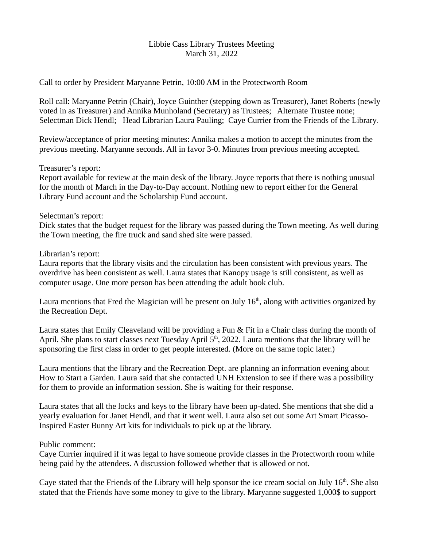## Libbie Cass Library Trustees Meeting March 31, 2022

Call to order by President Maryanne Petrin, 10:00 AM in the Protectworth Room

Roll call: Maryanne Petrin (Chair), Joyce Guinther (stepping down as Treasurer), Janet Roberts (newly voted in as Treasurer) and Annika Munholand (Secretary) as Trustees; Alternate Trustee none; Selectman Dick Hendl; Head Librarian Laura Pauling; Caye Currier from the Friends of the Library.

Review/acceptance of prior meeting minutes: Annika makes a motion to accept the minutes from the previous meeting. Maryanne seconds. All in favor 3-0. Minutes from previous meeting accepted.

Treasurer's report:

Report available for review at the main desk of the library. Joyce reports that there is nothing unusual for the month of March in the Day-to-Day account. Nothing new to report either for the General Library Fund account and the Scholarship Fund account.

Selectman's report:

Dick states that the budget request for the library was passed during the Town meeting. As well during the Town meeting, the fire truck and sand shed site were passed.

Librarian's report:

Laura reports that the library visits and the circulation has been consistent with previous years. The overdrive has been consistent as well. Laura states that Kanopy usage is still consistent, as well as computer usage. One more person has been attending the adult book club.

Laura mentions that Fred the Magician will be present on July  $16<sup>th</sup>$ , along with activities organized by the Recreation Dept.

Laura states that Emily Cleaveland will be providing a Fun & Fit in a Chair class during the month of April. She plans to start classes next Tuesday April  $5<sup>th</sup>$ , 2022. Laura mentions that the library will be sponsoring the first class in order to get people interested. (More on the same topic later.)

Laura mentions that the library and the Recreation Dept. are planning an information evening about How to Start a Garden. Laura said that she contacted UNH Extension to see if there was a possibility for them to provide an information session. She is waiting for their response.

Laura states that all the locks and keys to the library have been up-dated. She mentions that she did a yearly evaluation for Janet Hendl, and that it went well. Laura also set out some Art Smart Picasso-Inspired Easter Bunny Art kits for individuals to pick up at the library.

## Public comment:

Caye Currier inquired if it was legal to have someone provide classes in the Protectworth room while being paid by the attendees. A discussion followed whether that is allowed or not.

Caye stated that the Friends of the Library will help sponsor the ice cream social on July  $16<sup>th</sup>$ . She also stated that the Friends have some money to give to the library. Maryanne suggested 1,000\$ to support